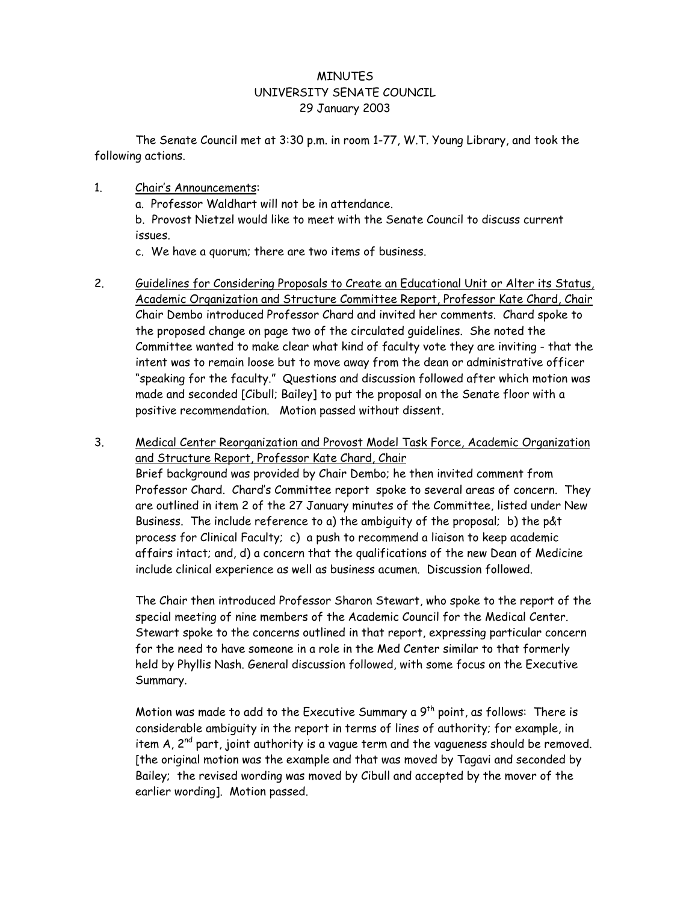## **MINUTES** UNIVERSITY SENATE COUNCIL 29 January 2003

 The Senate Council met at 3:30 p.m. in room 1-77, W.T. Young Library, and took the following actions.

## 1. Chair's Announcements:

a. Professor Waldhart will not be in attendance.

b. Provost Nietzel would like to meet with the Senate Council to discuss current issues.

c. We have a quorum; there are two items of business.

- 2. Guidelines for Considering Proposals to Create an Educational Unit or Alter its Status, Academic Organization and Structure Committee Report, Professor Kate Chard, Chair Chair Dembo introduced Professor Chard and invited her comments. Chard spoke to the proposed change on page two of the circulated guidelines. She noted the Committee wanted to make clear what kind of faculty vote they are inviting - that the intent was to remain loose but to move away from the dean or administrative officer "speaking for the faculty." Questions and discussion followed after which motion was made and seconded [Cibull; Bailey] to put the proposal on the Senate floor with a positive recommendation. Motion passed without dissent.
- 3. Medical Center Reorganization and Provost Model Task Force, Academic Organization and Structure Report, Professor Kate Chard, Chair

Brief background was provided by Chair Dembo; he then invited comment from Professor Chard. Chard's Committee report spoke to several areas of concern. They are outlined in item 2 of the 27 January minutes of the Committee, listed under New Business. The include reference to a) the ambiguity of the proposal; b) the p&t process for Clinical Faculty; c) a push to recommend a liaison to keep academic affairs intact; and, d) a concern that the qualifications of the new Dean of Medicine include clinical experience as well as business acumen. Discussion followed.

The Chair then introduced Professor Sharon Stewart, who spoke to the report of the special meeting of nine members of the Academic Council for the Medical Center. Stewart spoke to the concerns outlined in that report, expressing particular concern for the need to have someone in a role in the Med Center similar to that formerly held by Phyllis Nash. General discussion followed, with some focus on the Executive Summary.

Motion was made to add to the Executive Summary a  $9<sup>th</sup>$  point, as follows: There is considerable ambiguity in the report in terms of lines of authority; for example, in item  $A$ ,  $2^{nd}$  part, joint authority is a vague term and the vagueness should be removed. [the original motion was the example and that was moved by Tagavi and seconded by Bailey; the revised wording was moved by Cibull and accepted by the mover of the earlier wording]. Motion passed.